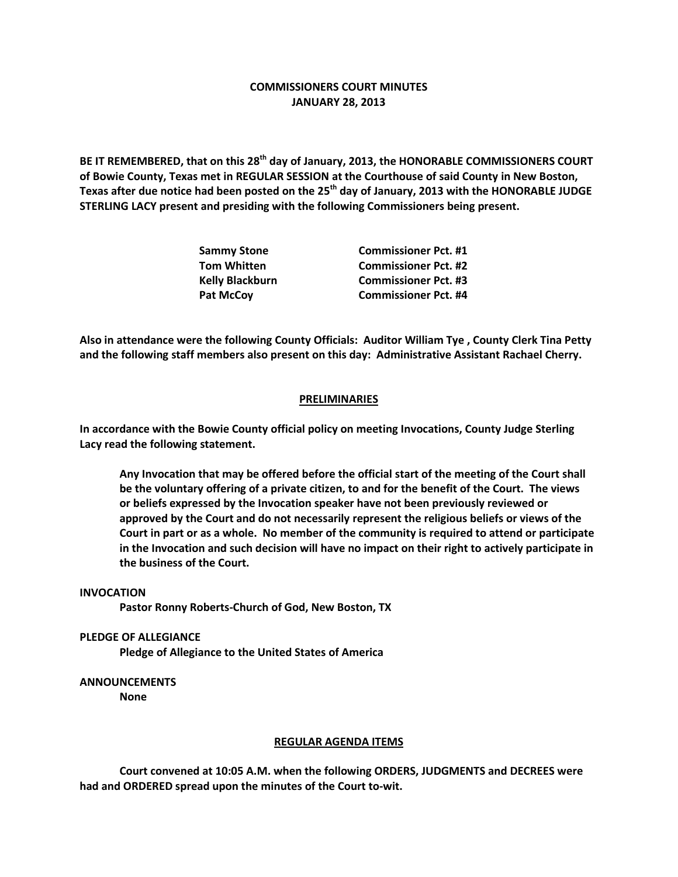## **COMMISSIONERS COURT MINUTES JANUARY 28, 2013**

**BE IT REMEMBERED, that on this 28th day of January, 2013, the HONORABLE COMMISSIONERS COURT of Bowie County, Texas met in REGULAR SESSION at the Courthouse of said County in New Boston, Texas after due notice had been posted on the 25th day of January, 2013 with the HONORABLE JUDGE STERLING LACY present and presiding with the following Commissioners being present.**

| <b>Sammy Stone</b>     | <b>Commissioner Pct. #1</b> |
|------------------------|-----------------------------|
| <b>Tom Whitten</b>     | <b>Commissioner Pct. #2</b> |
| <b>Kelly Blackburn</b> | <b>Commissioner Pct. #3</b> |
| <b>Pat McCoy</b>       | <b>Commissioner Pct. #4</b> |

**Also in attendance were the following County Officials: Auditor William Tye , County Clerk Tina Petty and the following staff members also present on this day: Administrative Assistant Rachael Cherry.**

## **PRELIMINARIES**

**In accordance with the Bowie County official policy on meeting Invocations, County Judge Sterling Lacy read the following statement.**

**Any Invocation that may be offered before the official start of the meeting of the Court shall be the voluntary offering of a private citizen, to and for the benefit of the Court. The views or beliefs expressed by the Invocation speaker have not been previously reviewed or approved by the Court and do not necessarily represent the religious beliefs or views of the Court in part or as a whole. No member of the community is required to attend or participate in the Invocation and such decision will have no impact on their right to actively participate in the business of the Court.**

**INVOCATION**

**Pastor Ronny Roberts-Church of God, New Boston, TX**

**PLEDGE OF ALLEGIANCE**

**Pledge of Allegiance to the United States of America**

**ANNOUNCEMENTS None**

**REGULAR AGENDA ITEMS**

**Court convened at 10:05 A.M. when the following ORDERS, JUDGMENTS and DECREES were had and ORDERED spread upon the minutes of the Court to-wit.**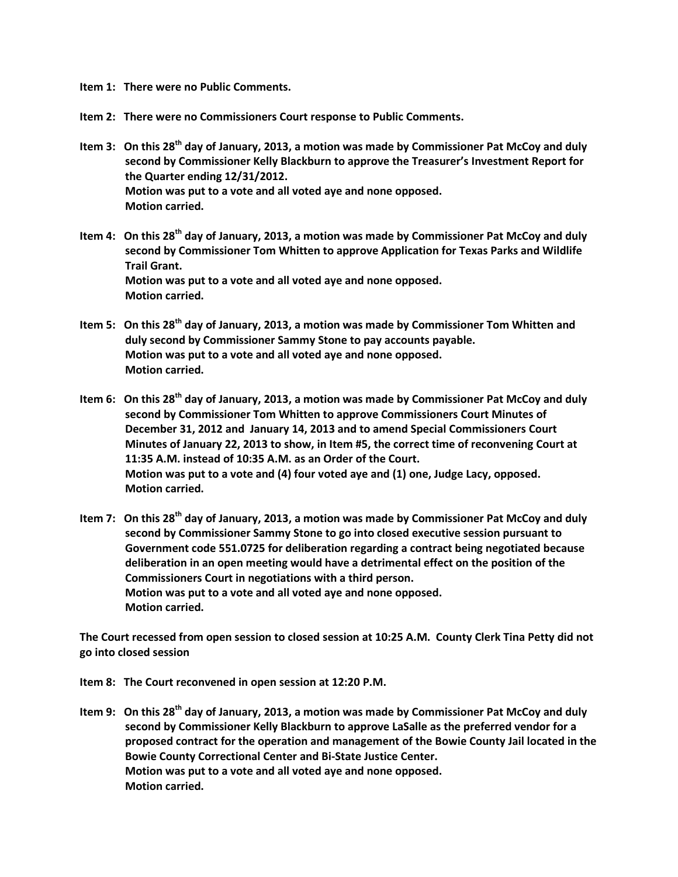**Item 1: There were no Public Comments.**

**Item 2: There were no Commissioners Court response to Public Comments.**

- **Item 3: On this 28th day of January, 2013, a motion was made by Commissioner Pat McCoy and duly second by Commissioner Kelly Blackburn to approve the Treasurer's Investment Report for the Quarter ending 12/31/2012. Motion was put to a vote and all voted aye and none opposed. Motion carried.**
- **Item 4: On this 28th day of January, 2013, a motion was made by Commissioner Pat McCoy and duly second by Commissioner Tom Whitten to approve Application for Texas Parks and Wildlife Trail Grant. Motion was put to a vote and all voted aye and none opposed. Motion carried.**
- **Item 5: On this 28th day of January, 2013, a motion was made by Commissioner Tom Whitten and duly second by Commissioner Sammy Stone to pay accounts payable. Motion was put to a vote and all voted aye and none opposed. Motion carried.**
- **Item 6: On this 28th day of January, 2013, a motion was made by Commissioner Pat McCoy and duly second by Commissioner Tom Whitten to approve Commissioners Court Minutes of December 31, 2012 and January 14, 2013 and to amend Special Commissioners Court Minutes of January 22, 2013 to show, in Item #5, the correct time of reconvening Court at 11:35 A.M. instead of 10:35 A.M. as an Order of the Court. Motion was put to a vote and (4) four voted aye and (1) one, Judge Lacy, opposed. Motion carried.**
- **Item 7: On this 28th day of January, 2013, a motion was made by Commissioner Pat McCoy and duly second by Commissioner Sammy Stone to go into closed executive session pursuant to Government code 551.0725 for deliberation regarding a contract being negotiated because deliberation in an open meeting would have a detrimental effect on the position of the Commissioners Court in negotiations with a third person. Motion was put to a vote and all voted aye and none opposed. Motion carried.**

**The Court recessed from open session to closed session at 10:25 A.M. County Clerk Tina Petty did not go into closed session**

**Item 8: The Court reconvened in open session at 12:20 P.M.**

**Item 9: On this 28th day of January, 2013, a motion was made by Commissioner Pat McCoy and duly second by Commissioner Kelly Blackburn to approve LaSalle as the preferred vendor for a proposed contract for the operation and management of the Bowie County Jail located in the Bowie County Correctional Center and Bi-State Justice Center. Motion was put to a vote and all voted aye and none opposed. Motion carried.**